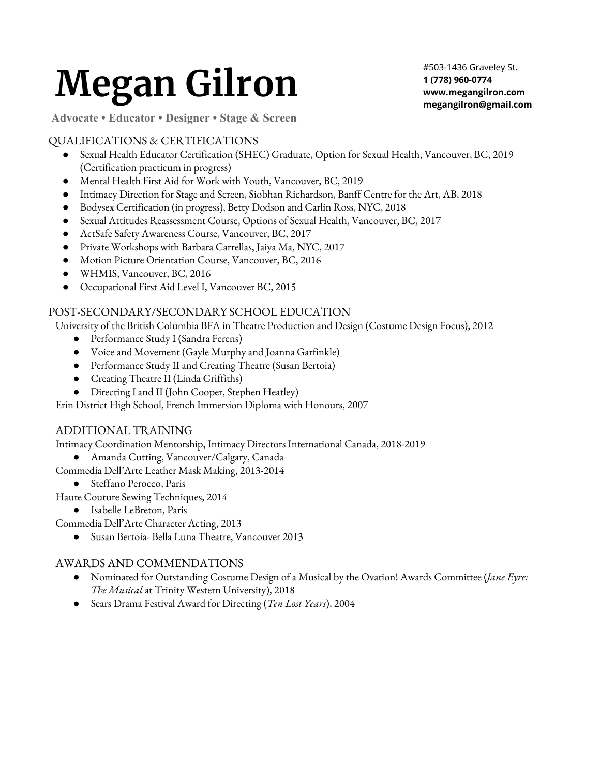# **Megan Gilron**

#503-1436 Graveley St. **1 (778) 960-0774 www.megangilron.com megangilron@gmail.com**

**Advocate • Educator • Designer • Stage & Screen**

# QUALIFICATIONS & CERTIFICATIONS

- Sexual Health Educator Certification (SHEC) Graduate, Option for Sexual Health, Vancouver, BC, 2019 (Certification practicum in progress)
- Mental Health First Aid for Work with Youth, Vancouver, BC, 2019
- Intimacy Direction for Stage and Screen, Siobhan Richardson, Banff Centre for the Art, AB, 2018
- Bodysex Certification (in progress), Betty Dodson and Carlin Ross, NYC, 2018
- Sexual Attitudes Reassessment Course, Options of Sexual Health, Vancouver, BC, 2017
- ActSafe Safety Awareness Course, Vancouver, BC, 2017
- Private Workshops with Barbara Carrellas, Jaiya Ma, NYC, 2017
- Motion Picture Orientation Course, Vancouver, BC, 2016
- WHMIS, Vancouver, BC, 2016
- Occupational First Aid Level I, Vancouver BC, 2015

# POST-SECONDARY/SECONDARY SCHOOL EDUCATION

University of the British Columbia BFA in Theatre Production and Design (Costume Design Focus), 2012

- Performance Study I (Sandra Ferens)
- Voice and Movement (Gayle Murphy and Joanna Garfinkle)
- Performance Study II and Creating Theatre (Susan Bertoia)
- Creating Theatre II (Linda Griffiths)
- Directing I and II (John Cooper, Stephen Heatley)

Erin District High School, French Immersion Diploma with Honours, 2007

# ADDITIONAL TRAINING

Intimacy Coordination Mentorship, Intimacy Directors International Canada, 2018-2019

● Amanda Cutting, Vancouver/Calgary, Canada

Commedia Dell'Arte Leather Mask Making, 2013-2014

● Steffano Perocco, Paris

Haute Couture Sewing Techniques, 2014

● Isabelle LeBreton, Paris

Commedia Dell'Arte Character Acting, 2013

Susan Bertoia- Bella Luna Theatre, Vancouver 2013

# AWARDS AND COMMENDATIONS

- Nominated for Outstanding Costume Design of a Musical by the Ovation! Awards Committee (*Jane Eyre: The Musical* at Trinity Western University), 2018
- Sears Drama Festival Award for Directing (*Ten Lost Years*), 2004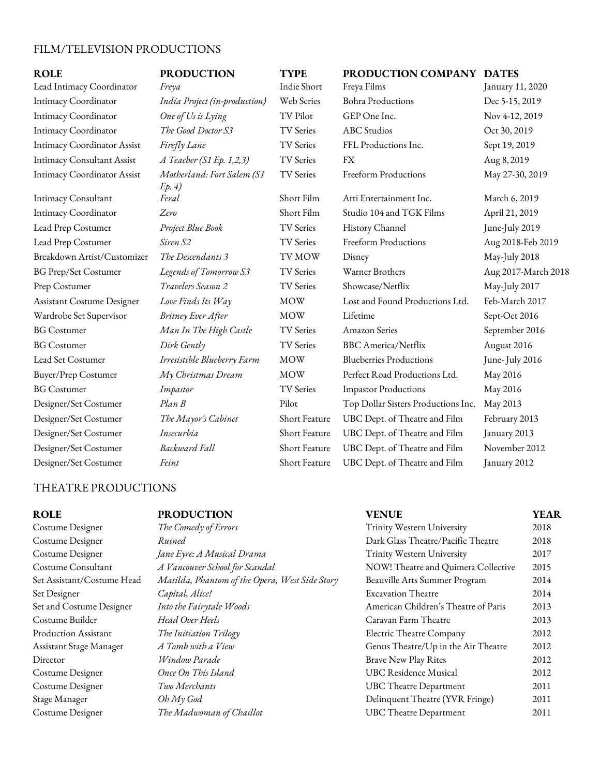# FILM/TELEVISION PRODUCTIONS

# $ROLE$  **PRODUCTION TYPE**

# *Ep. 4)*

| <b>ROLE</b>                        | <b>PRODUCTION</b>                    | <b>TYPE</b>      | PRODUCTION COMPANY DATES            |                     |
|------------------------------------|--------------------------------------|------------------|-------------------------------------|---------------------|
| Lead Intimacy Coordinator          | Freya                                | Indie Short      | Freya Films                         | January 11, 2020    |
| Intimacy Coordinator               | India Project (in-production)        | Web Series       | <b>Bohra Productions</b>            | Dec 5-15, 2019      |
| Intimacy Coordinator               | One of Us is Lying                   | <b>TV Pilot</b>  | GEP One Inc.                        | Nov 4-12, 2019      |
| Intimacy Coordinator               | The Good Doctor S3                   | <b>TV</b> Series | <b>ABC</b> Studios                  | Oct 30, 2019        |
| <b>Intimacy Coordinator Assist</b> | Firefly Lane                         | <b>TV</b> Series | FFL Productions Inc.                | Sept 19, 2019       |
| <b>Intimacy Consultant Assist</b>  | $A$ Teacher (S1 Ep. 1,2,3)           | <b>TV Series</b> | FX                                  | Aug 8, 2019         |
| <b>Intimacy Coordinator Assist</b> | Motherland: Fort Salem (S1<br>Ep. 4) | <b>TV</b> Series | Freeform Productions                | May 27-30, 2019     |
| <b>Intimacy Consultant</b>         | Feral                                | Short Film       | Atti Entertainment Inc.             | March 6, 2019       |
| Intimacy Coordinator               | Zero                                 | Short Film       | Studio 104 and TGK Films            | April 21, 2019      |
| Lead Prep Costumer                 | Project Blue Book                    | <b>TV</b> Series | History Channel                     | June-July 2019      |
| Lead Prep Costumer                 | Siren S2                             | TV Series        | Freeform Productions                | Aug 2018-Feb 2019   |
| Breakdown Artist/Customizer        | The Descendants 3                    | <b>TVMOW</b>     | Disney                              | May-July 2018       |
| <b>BG Prep/Set Costumer</b>        | Legends of Tomorrow S3               | <b>TV Series</b> | Warner Brothers                     | Aug 2017-March 2018 |
| Prep Costumer                      | Travelers Season 2                   | <b>TV</b> Series | Showcase/Netflix                    | May-July 2017       |
| Assistant Costume Designer         | Love Finds Its Way                   | <b>MOW</b>       | Lost and Found Productions Ltd.     | Feb-March 2017      |
| Wardrobe Set Supervisor            | Britney Ever After                   | <b>MOW</b>       | Lifetime                            | Sept-Oct 2016       |
| <b>BG</b> Costumer                 | Man In The High Castle               | <b>TV</b> Series | <b>Amazon Series</b>                | September 2016      |
| <b>BG</b> Costumer                 | Dirk Gently                          | TV Series        | <b>BBC</b> America/Netflix          | August 2016         |
| Lead Set Costumer                  | Irresistible Blueberry Farm          | <b>MOW</b>       | <b>Blueberries Productions</b>      | June-July 2016      |
| Buyer/Prep Costumer                | My Christmas Dream                   | <b>MOW</b>       | Perfect Road Productions Ltd.       | May 2016            |
| <b>BG</b> Costumer                 | Impastor                             | <b>TV</b> Series | <b>Impastor Productions</b>         | May 2016            |
| Designer/Set Costumer              | $Plan$ $B$                           | Pilot            | Top Dollar Sisters Productions Inc. | May 2013            |
| Designer/Set Costumer              | The Mayor's Cabinet                  | Short Feature    | UBC Dept. of Theatre and Film       | February 2013       |
| Designer/Set Costumer              | Insecurbia                           | Short Feature    | UBC Dept. of Theatre and Film       | January 2013        |
| Designer/Set Costumer              | Backward Fall                        | Short Feature    | UBC Dept. of Theatre and Film       | November 2012       |
| Designer/Set Costumer              | Feint                                | Short Feature    | UBC Dept. of Theatre and Film       | January 2012        |

# THEATRE PRODUCTIONS

# **ROLE PRODUCTION VENUE YEAR**

Costume Designer *The Comedy of Errors* Trinity Western University 2018 Costume Designer *Ruined* Dark Glass Theatre/Pacific Theatre 2018 Costume Designer *Jane Eyre: A Musical Drama* Trinity Western University 2017 Costume Consultant *A Vancouver School for Scandal* NOW! Theatre and Quimera Collective 2015 Set Assistant/Costume Head *Matilda, Phantom of the Opera, West Side Story* Beauville Arts Summer Program 2014 Set Designer *Capital, Alice!* Excavation Theatre 2014 Set and Costume Designer *Into the Fairytale Woods* American Children's Theatre of Paris 2013 Costume Builder *Head Over Heels* Caravan Farm Theatre 2013 Production Assistant *The Initiation Trilogy* Electric Theatre Company 2012 Assistant Stage Manager *A* Tomb with a View Genus Theatre/Up in the Air Theatre 2012 Director *Window Parade* Brave New Play Rites 2012 Costume Designer *Once On This Island* UBC Residence Musical 2012 Costume Designer *Two Merchants* UBC Theatre Department 2011 Stage Manager *Oh My God* Delinquent Theatre (YVR Fringe) 2011 Costume Designer *The Madwoman of Chaillot* UBC Theatre Department 2011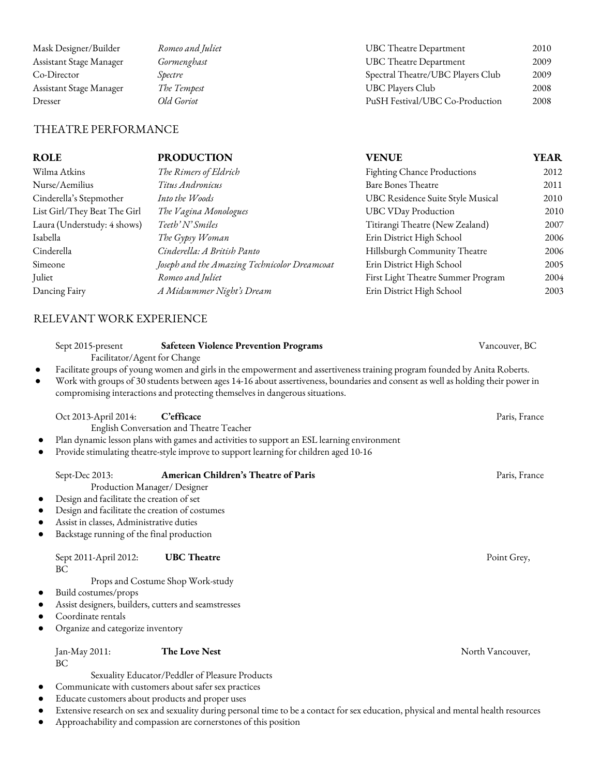| Mask Designer/Builder   | Romeo and Juliet | UBC Theatre Department            | 2010 |
|-------------------------|------------------|-----------------------------------|------|
| Assistant Stage Manager | Gormenghast      | UBC Theatre Department            | 2009 |
| Co-Director             | Spectre          | Spectral Theatre/UBC Players Club | 2009 |
| Assistant Stage Manager | The Tempest      | UBC Players Club                  | 2008 |
| Dresser                 | Old Goriot       | PuSH Festival/UBC Co-Production   | 2008 |
|                         |                  |                                   |      |

# THEATRE PERFORMANCE

| <b>ROLE</b>                  | <b>PRODUCTION</b>                            | <b>VENUE</b>                       | <b>YEAR</b> |
|------------------------------|----------------------------------------------|------------------------------------|-------------|
| Wilma Atkins                 | The Rimers of Eldrich                        | Fighting Chance Productions        | 2012        |
| Nurse/Aemilius               | Titus Andronicus                             | <b>Bare Bones Theatre</b>          | 2011        |
| Cinderella's Stepmother      | Into the Woods                               | UBC Residence Suite Style Musical  | 2010        |
| List Girl/They Beat The Girl | The Vagina Monologues                        | <b>UBC VDay Production</b>         | 2010        |
| Laura (Understudy: 4 shows)  | Teeth' N' Smiles                             | Titirangi Theatre (New Zealand)    | 2007        |
| Isabella                     | The Gypsy Woman                              | Erin District High School          | 2006        |
| Cinderella                   | Cinderella: A British Panto                  | Hillsburgh Community Theatre       | 2006        |
| Simeone                      | Joseph and the Amazing Technicolor Dreamcoat | Erin District High School          | 2005        |
| Juliet                       | Romeo and Juliet                             | First Light Theatre Summer Program | 2004        |
| Dancing Fairy                | A Midsummer Night's Dream                    | Erin District High School          | 2003        |
|                              |                                              |                                    |             |

# RELEVANT WORK EXPERIENCE

|                        | Sept 2015-present<br>Facilitator/Agent for Change                                                                                                                                                                                      | <b>Safeteen Violence Prevention Programs</b>                                                                                                                                                                                                                                                                                                   | Vancouver, BC    |
|------------------------|----------------------------------------------------------------------------------------------------------------------------------------------------------------------------------------------------------------------------------------|------------------------------------------------------------------------------------------------------------------------------------------------------------------------------------------------------------------------------------------------------------------------------------------------------------------------------------------------|------------------|
| $\bullet$<br>$\bullet$ |                                                                                                                                                                                                                                        | Facilitate groups of young women and girls in the empowerment and assertiveness training program founded by Anita Roberts.<br>Work with groups of 30 students between ages 14-16 about assertiveness, boundaries and consent as well as holding their power in<br>compromising interactions and protecting themselves in dangerous situations. |                  |
|                        | Oct 2013-April 2014:                                                                                                                                                                                                                   | C'efficace<br>English Conversation and Theatre Teacher<br>Plan dynamic lesson plans with games and activities to support an ESL learning environment<br>Provide stimulating theatre-style improve to support learning for children aged 10-16                                                                                                  | Paris, France    |
| $\bullet$              | Sept-Dec 2013:<br>Production Manager/ Designer<br>Design and facilitate the creation of set<br>Design and facilitate the creation of costumes<br>Assist in classes, Administrative duties<br>Backstage running of the final production | American Children's Theatre of Paris                                                                                                                                                                                                                                                                                                           | Paris, France    |
| $\bullet$              | Sept 2011-April 2012:<br>BC<br>Build costumes/props<br>Assist designers, builders, cutters and seamstresses<br>Coordinate rentals<br>Organize and categorize inventory                                                                 | <b>UBC</b> Theatre<br>Props and Costume Shop Work-study                                                                                                                                                                                                                                                                                        | Point Grey,      |
|                        | Jan-May 2011:<br>BC<br>Educate customers about products and proper uses                                                                                                                                                                | The Love Nest<br>Sexuality Educator/Peddler of Pleasure Products<br>Communicate with customers about safer sex practices                                                                                                                                                                                                                       | North Vancouver, |

- Extensive research on sex and sexuality during personal time to be a contact for sex education, physical and mental health resources
- Approachability and compassion are cornerstones of this position